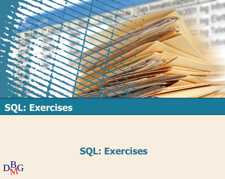

# **SQL: Exercises**

# **SQL: Exercises**

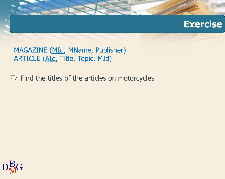

MAGAZINE (MId, MName, Publisher) ARTICLE (AId, Title, Topic, MId)

 $\Sigma$  Find the titles of the articles on motorcycles

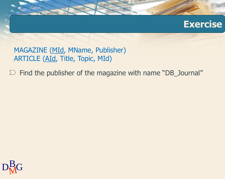MAGAZINE (MId, MName, Publisher) ARTICLE (AId, Title, Topic, MId)

 $\Sigma$  Find the publisher of the magazine with name "DB\_Journal"

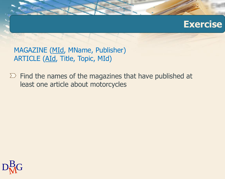

MAGAZINE (MId, MName, Publisher) ARTICLE (AId, Title, Topic, MId)

 $\Sigma$  Find the names of the magazines that have published at least one article about motorcycles

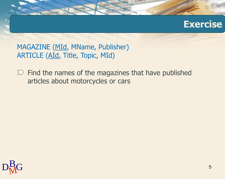MAGAZINE (MId, MName, Publisher) ARTICLE (AId, Title, Topic, MId)

 $\Sigma$  Find the names of the magazines that have published articles about motorcycles or cars

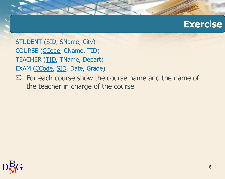STUDENT (SID, SName, City) COURSE (CCode, CName, TID) TEACHER (TID, TName, Depart) EXAM (CCode, SID, Date, Grade)

 $\Sigma$  For each course show the course name and the name of the teacher in charge of the course

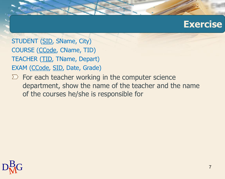STUDENT (SID, SName, City) COURSE (CCode, CName, TID) TEACHER (TID, TName, Depart) EXAM (CCode, SID, Date, Grade)

 $\sum$  For each teacher working in the computer science department, show the name of the teacher and the name of the courses he/she is responsible for

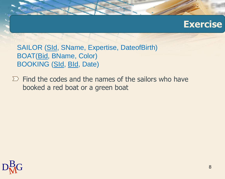SAILOR (SId, SName, Expertise, DateofBirth) BOAT(Bid, BName, Color) BOOKING (SId, BId, Date)

 $\Sigma$  Find the codes and the names of the sailors who have booked a red boat or a green boat

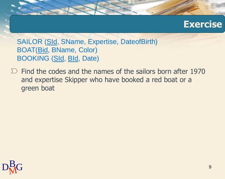SAILOR (SId, SName, Expertise, DateofBirth) BOAT(Bid, BName, Color) BOOKING (SId, BId, Date)

 $\sum$  Find the codes and the names of the sailors born after 1970 and expertise Skipper who have booked a red boat or a green boat

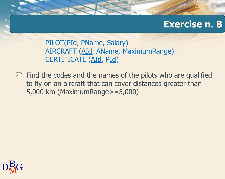### **Exercise n. 8**

PILOT(PId, PName, Salary) AIRCRAFT (AId, AName, MaximumRange) CERTIFICATE (AId, PId)

 $\Sigma$  Find the codes and the names of the pilots who are qualified to fly on an aircraft that can cover distances greater than 5,000 km (MaximumRange>=5,000)

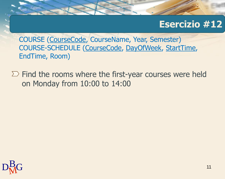## **Esercizio #12**

COURSE (CourseCode, CourseName, Year, Semester) COURSE-SCHEDULE (CourseCode, DayOfWeek, StartTime, EndTime, Room)

 $\Sigma$  Find the rooms where the first-year courses were held on Monday from 10:00 to 14:00

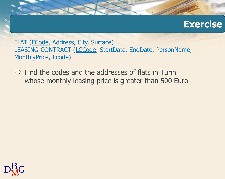

FLAT (FCode, Address, City, Surface) LEASING-CONTRACT (LCCode, StartDate, EndDate, PersonName, MonthlyPrice, Fcode)

 $\Sigma$  Find the codes and the addresses of flats in Turin whose monthly leasing price is greater than 500 Euro

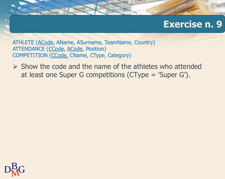## **Exercise n. 9**

ATHLETE (ACode, AName, ASurname, TeamName, Country) ATTENDANCE (CCode, ACode, Position) COMPETITION (CCode, CName, CType, Category)

 $\triangleright$  Show the code and the name of the athletes who attended at least one Super G competitions (CType = 'Super G').